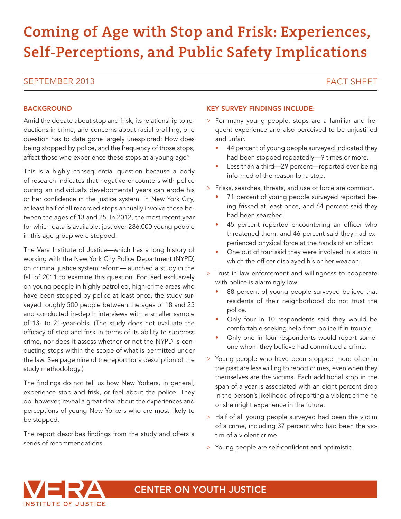# **Coming of Age with Stop and Frisk: Experiences, Self-Perceptions, and Public Safety Implications**

### SEPTEMBER 2013 FACT SHEET SEEN ALL AND SEPTEMBER 2013

### **BACKGROUND**

Amid the debate about stop and frisk, its relationship to reductions in crime, and concerns about racial profiling, one question has to date gone largely unexplored: How does being stopped by police, and the frequency of those stops, affect those who experience these stops at a young age?

This is a highly consequential question because a body of research indicates that negative encounters with police during an individual's developmental years can erode his or her confidence in the justice system. In New York City, at least half of all recorded stops annually involve those between the ages of 13 and 25. In 2012, the most recent year for which data is available, just over 286,000 young people in this age group were stopped.

The Vera Institute of Justice—which has a long history of working with the New York City Police Department (NYPD) on criminal justice system reform—launched a study in the fall of 2011 to examine this question. Focused exclusively on young people in highly patrolled, high-crime areas who have been stopped by police at least once, the study surveyed roughly 500 people between the ages of 18 and 25 and conducted in-depth interviews with a smaller sample of 13- to 21-year-olds. (The study does not evaluate the efficacy of stop and frisk in terms of its ability to suppress crime, nor does it assess whether or not the NYPD is conducting stops within the scope of what is permitted under the law. See page nine of the report for a description of the study methodology.)

The findings do not tell us how New Yorkers, in general, experience stop and frisk, or feel about the police. They do, however, reveal a great deal about the experiences and perceptions of young New Yorkers who are most likely to be stopped.

The report describes findings from the study and offers a series of recommendations.

### KEY SURVEY FINDINGS INCLUDE:

- > For many young people, stops are a familiar and frequent experience and also perceived to be unjustified and unfair.
	- 44 percent of young people surveyed indicated they had been stopped repeatedly—9 times or more.
	- Less than a third—29 percent—reported ever being informed of the reason for a stop.
- > Frisks, searches, threats, and use of force are common.
	- 71 percent of young people surveyed reported being frisked at least once, and 64 percent said they had been searched.
	- 45 percent reported encountering an officer who threatened them, and 46 percent said they had experienced physical force at the hands of an officer.
	- One out of four said they were involved in a stop in which the officer displayed his or her weapon.
- > Trust in law enforcement and willingness to cooperate with police is alarmingly low.
	- 88 percent of young people surveyed believe that residents of their neighborhood do not trust the police.
	- Only four in 10 respondents said they would be comfortable seeking help from police if in trouble.
	- Only one in four respondents would report someone whom they believe had committed a crime.
- > Young people who have been stopped more often in the past are less willing to report crimes, even when they themselves are the victims. Each additional stop in the span of a year is associated with an eight percent drop in the person's likelihood of reporting a violent crime he or she might experience in the future.
- > Half of all young people surveyed had been the victim of a crime, including 37 percent who had been the victim of a violent crime.
- > Young people are self-confident and optimistic.



CENTER ON YOUTH JUSTICE